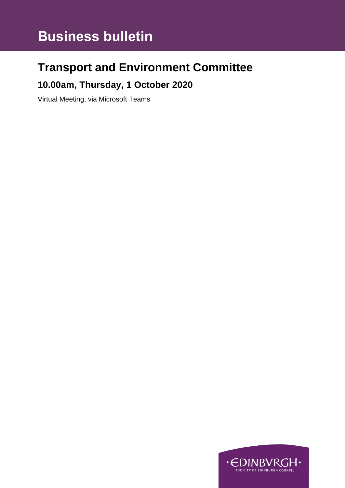# **Business bulletin**

# **Transport and Environment Committee**

### **10.00am, Thursday, 1 October 2020**

Virtual Meeting, via Microsoft Teams

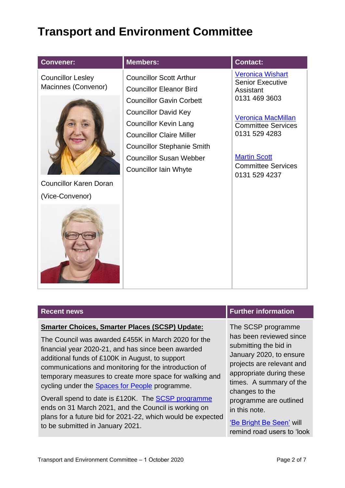## **Transport and Environment Committee**

| <b>Convener:</b>                                | <b>Members:</b>                                                                                                                                                                                       | <b>Contact:</b>                                                                                                                              |
|-------------------------------------------------|-------------------------------------------------------------------------------------------------------------------------------------------------------------------------------------------------------|----------------------------------------------------------------------------------------------------------------------------------------------|
| <b>Councillor Lesley</b><br>Macinnes (Convenor) | <b>Councillor Scott Arthur</b><br><b>Councillor Eleanor Bird</b><br><b>Councillor Gavin Corbett</b>                                                                                                   | <b>Veronica Wishart</b><br><b>Senior Executive</b><br>Assistant<br>0131 469 3603                                                             |
|                                                 | <b>Councillor David Key</b><br><b>Councillor Kevin Lang</b><br><b>Councillor Claire Miller</b><br><b>Councillor Stephanie Smith</b><br><b>Councillor Susan Webber</b><br><b>Councillor Iain Whyte</b> | <b>Veronica MacMillan</b><br><b>Committee Services</b><br>0131 529 4283<br><b>Martin Scott</b><br><b>Committee Services</b><br>0131 529 4237 |
| <b>Councillor Karen Doran</b>                   |                                                                                                                                                                                                       |                                                                                                                                              |
| (Vice-Convenor)                                 |                                                                                                                                                                                                       |                                                                                                                                              |
|                                                 |                                                                                                                                                                                                       |                                                                                                                                              |

#### **Smarter Choices, Smarter Places (SCSP) Update:**

The Council was awarded £455K in March 2020 for the financial year 2020-21, and has since been awarded additional funds of £100K in August, to support communications and monitoring for the introduction of temporary measures to create more space for walking and cycling under the [Spaces for People](https://www.edinburgh.gov.uk/spaces-people-1) programme.

Overall spend to date is £120K. The [SCSP programme](https://www.pathsforall.org.uk/local-authority-fund) ends on 31 March 2021, and the Council is working on plans for a future bid for 2021-22, which would be expected to be submitted in January 2021.

### **Recent news Funding Section Funding Section Further information**

The SCSP programme has been reviewed since submitting the bid in January 2020, to ensure projects are relevant and appropriate during these times. A summary of the changes to the programme are outlined in this note.

['Be Bright Be Seen'](https://www.edinburgh.gov.uk/bebrightbeseen#:~:text=The%20) will remind road users to 'look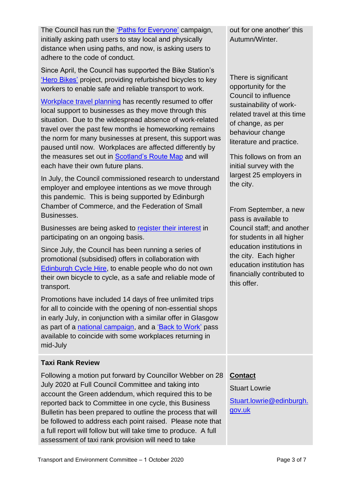The Council has run the ['Paths for Everyone'](https://www.edinburgh.gov.uk/pathsforeveryone) campaign, initially asking path users to stay local and physically distance when using paths, and now, is asking users to adhere to the code of conduct.

Since April, the Council has supported the Bike Station's ['Hero Bikes'](https://thebikestation.org.uk/hero-bikes/) project, providing refurbished bicycles to key workers to enable safe and reliable transport to work.

[Workplace travel planning](https://www.edinburgh.gov.uk/cycling-walking/workplace-travel-planning/1) has recently resumed to offer local support to businesses as they move through this situation. Due to the widespread absence of work-related travel over the past few months ie homeworking remains the norm for many businesses at present, this support was paused until now. Workplaces are affected differently by the measures set out in [Scotland's Route Map](https://www.gov.scot/publications/coronavirus-covid-19-framework-decision-making-scotlands-route-map-through-out-crisis/) and will each have their own future plans.

In July, the Council commissioned research to understand employer and employee intentions as we move through this pandemic. This is being supported by Edinburgh Chamber of Commerce, and the Federation of Small Businesses.

Businesses are being asked to [register their interest](https://www.edinburgh.gov.uk/cycling-walking/workplace-travel-planning/2?documentId=12949&categoryId=20087) in participating on an ongoing basis.

Since July, the Council has been running a series of promotional (subsidised) offers in collaboration with [Edinburgh Cycle Hire,](https://edinburghcyclehire.com/) to enable people who do not own their own bicycle to cycle, as a safe and reliable mode of transport.

Promotions have included 14 days of free unlimited trips for all to coincide with the opening of non-essential shops in early July, in conjunction with a similar offer in Glasgow as part of a [national campaign,](https://como.org.uk/free-bike-share/) and a ['Back to Work'](https://www.edinburghlive.co.uk/news/edinburgh-news/just-eat-bike-month-pass-18580042) pass available to coincide with some workplaces returning in mid-July

### **Taxi Rank Review**

Following a motion put forward by Councillor Webber on 28 July 2020 at Full Council Committee and taking into account the Green addendum, which required this to be reported back to Committee in one cycle, this Business Bulletin has been prepared to outline the process that will be followed to address each point raised. Please note that a full report will follow but will take time to produce. A full assessment of taxi rank provision will need to take

out for one another' this Autumn/Winter.

There is significant opportunity for the Council to influence sustainability of workrelated travel at this time of change, as per behaviour change literature and practice.

This follows on from an initial survey with the largest 25 employers in the city.

From September, a new pass is available to Council staff; and another for students in all higher education institutions in the city. Each higher education institution has financially contributed to this offer.

### **Contact**

Stuart Lowrie [Stuart.lowrie@edinburgh.](mailto:Stuart.lowrie@edinburgh.gov.uk) [gov.uk](mailto:Stuart.lowrie@edinburgh.gov.uk)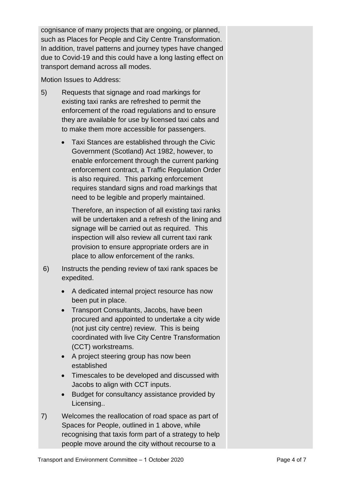cognisance of many projects that are ongoing, or planned, such as Places for People and City Centre Transformation. In addition, travel patterns and journey types have changed due to Covid-19 and this could have a long lasting effect on transport demand across all modes.

Motion Issues to Address:

- 5) Requests that signage and road markings for existing taxi ranks are refreshed to permit the enforcement of the road regulations and to ensure they are available for use by licensed taxi cabs and to make them more accessible for passengers.
	- Taxi Stances are established through the Civic Government (Scotland) Act 1982, however, to enable enforcement through the current parking enforcement contract, a Traffic Regulation Order is also required. This parking enforcement requires standard signs and road markings that need to be legible and properly maintained.

Therefore, an inspection of all existing taxi ranks will be undertaken and a refresh of the lining and signage will be carried out as required. This inspection will also review all current taxi rank provision to ensure appropriate orders are in place to allow enforcement of the ranks.

- 6) Instructs the pending review of taxi rank spaces be expedited.
	- A dedicated internal project resource has now been put in place.
	- Transport Consultants, Jacobs, have been procured and appointed to undertake a city wide (not just city centre) review. This is being coordinated with live City Centre Transformation (CCT) workstreams.
	- A project steering group has now been established
	- Timescales to be developed and discussed with Jacobs to align with CCT inputs.
	- Budget for consultancy assistance provided by Licensing..
- 7) Welcomes the reallocation of road space as part of Spaces for People, outlined in 1 above, while recognising that taxis form part of a strategy to help people move around the city without recourse to a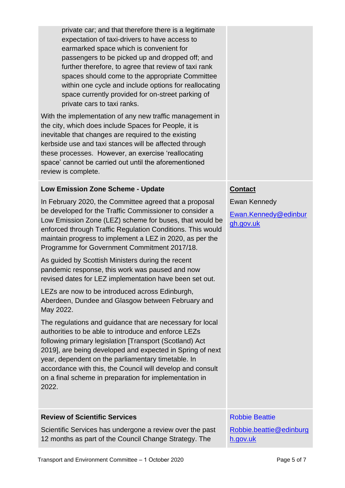| private car; and that therefore there is a legitimate<br>expectation of taxi-drivers to have access to<br>earmarked space which is convenient for<br>passengers to be picked up and dropped off; and<br>further therefore, to agree that review of taxi rank<br>spaces should come to the appropriate Committee<br>within one cycle and include options for reallocating<br>space currently provided for on-street parking of<br>private cars to taxi ranks.<br>With the implementation of any new traffic management in |                                                   |
|--------------------------------------------------------------------------------------------------------------------------------------------------------------------------------------------------------------------------------------------------------------------------------------------------------------------------------------------------------------------------------------------------------------------------------------------------------------------------------------------------------------------------|---------------------------------------------------|
| the city, which does include Spaces for People, it is<br>inevitable that changes are required to the existing<br>kerbside use and taxi stances will be affected through<br>these processes. However, an exercise 'reallocating<br>space' cannot be carried out until the aforementioned<br>review is complete.                                                                                                                                                                                                           |                                                   |
| <b>Low Emission Zone Scheme - Update</b>                                                                                                                                                                                                                                                                                                                                                                                                                                                                                 | <b>Contact</b>                                    |
| In February 2020, the Committee agreed that a proposal<br>be developed for the Traffic Commissioner to consider a<br>Low Emission Zone (LEZ) scheme for buses, that would be<br>enforced through Traffic Regulation Conditions. This would<br>maintain progress to implement a LEZ in 2020, as per the<br>Programme for Government Commitment 2017/18.                                                                                                                                                                   | Ewan Kennedy<br>Ewan.Kennedy@edinbur<br>gh.gov.uk |
| As guided by Scottish Ministers during the recent<br>pandemic response, this work was paused and now<br>revised dates for LEZ implementation have been set out.                                                                                                                                                                                                                                                                                                                                                          |                                                   |
| LEZs are now to be introduced across Edinburgh,<br>Aberdeen, Dundee and Glasgow between February and<br>May 2022.                                                                                                                                                                                                                                                                                                                                                                                                        |                                                   |
| The regulations and guidance that are necessary for local<br>authorities to be able to introduce and enforce LEZs<br>following primary legislation [Transport (Scotland) Act<br>2019], are being developed and expected in Spring of next<br>year, dependent on the parliamentary timetable. In<br>accordance with this, the Council will develop and consult<br>on a final scheme in preparation for implementation in<br>2022.                                                                                         |                                                   |
| <b>Review of Scientific Services</b>                                                                                                                                                                                                                                                                                                                                                                                                                                                                                     | <b>Robbie Beattie</b>                             |
| Scientific Services has undergone a review over the past<br>12 months as part of the Council Change Strategy. The                                                                                                                                                                                                                                                                                                                                                                                                        | Robbie.beattie@edinburg<br>h.gov.uk               |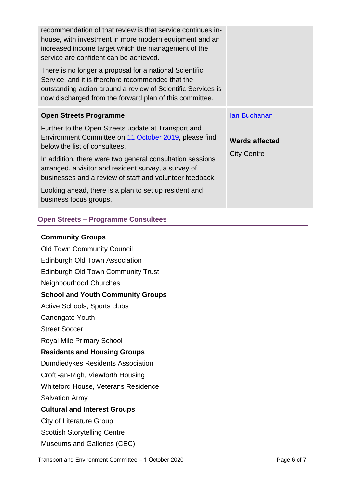| recommendation of that review is that service continues in-<br>house, with investment in more modern equipment and an<br>increased income target which the management of the<br>service are confident can be achieved.<br>There is no longer a proposal for a national Scientific<br>Service, and it is therefore recommended that the |                                             |
|----------------------------------------------------------------------------------------------------------------------------------------------------------------------------------------------------------------------------------------------------------------------------------------------------------------------------------------|---------------------------------------------|
| outstanding action around a review of Scientific Services is<br>now discharged from the forward plan of this committee.                                                                                                                                                                                                                |                                             |
| <b>Open Streets Programme</b>                                                                                                                                                                                                                                                                                                          | <b>lan Buchanan</b>                         |
| Further to the Open Streets update at Transport and<br>Environment Committee on 11 October 2019, please find<br>below the list of consultees.                                                                                                                                                                                          | <b>Wards affected</b><br><b>City Centre</b> |
| In addition, there were two general consultation sessions<br>arranged, a visitor and resident survey, a survey of<br>businesses and a review of staff and volunteer feedback.                                                                                                                                                          |                                             |
| Looking ahead, there is a plan to set up resident and<br>business focus groups.                                                                                                                                                                                                                                                        |                                             |
| <b>Open Streets - Programme Consultees</b>                                                                                                                                                                                                                                                                                             |                                             |

#### **Community Groups**

Old Town Community Council Edinburgh Old Town Association Edinburgh Old Town Community Trust Neighbourhood Churches **School and Youth Community Groups**  Active Schools, Sports clubs Canongate Youth Street Soccer Royal Mile Primary School **Residents and Housing Groups**  Dumdiedykes Residents Association Croft -an-Righ, Viewforth Housing Whiteford House, Veterans Residence Salvation Army **Cultural and Interest Groups**  City of Literature Group Scottish Storytelling Centre Museums and Galleries (CEC)